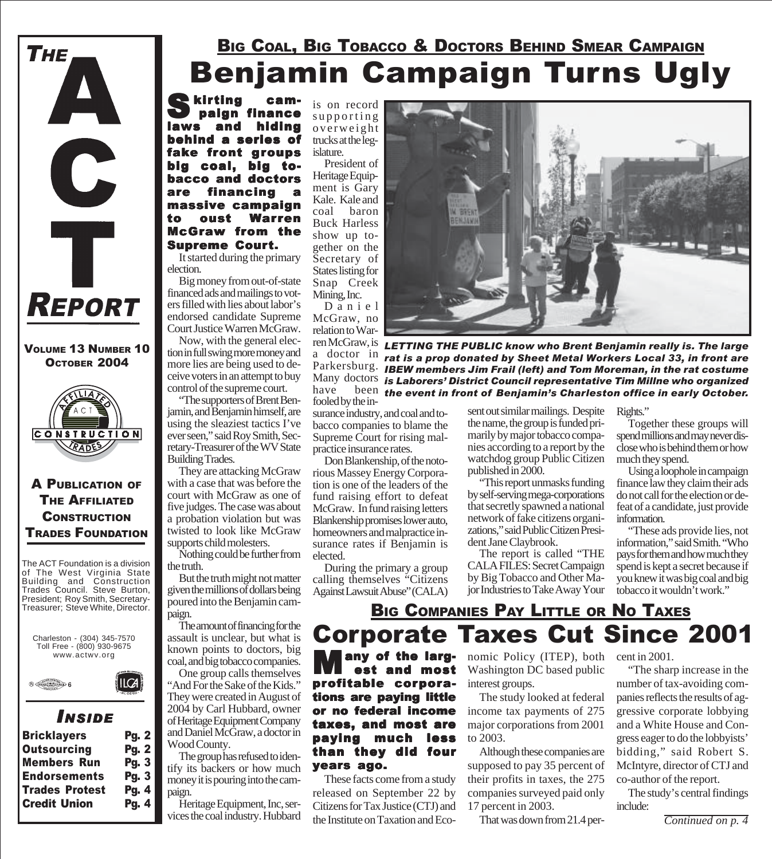

#### VOLUME 13 NUMBER 10 OCTOBER 2004



#### A PUBLICATION OF **THE AFFILIATED CONSTRUCTION** TRADES FOUNDATION

The ACT Foundation is a division of The West Virginia State Building and Construction Trades Council. Steve Burton, President; Roy Smith, Secretary-Treasurer; Steve White, Director.





### *I NSIDE*

IICA

| <b>Pg. 2</b> |
|--------------|
| <b>Pg. 2</b> |
| <b>Pg. 3</b> |
| <b>Pg. 3</b> |
| <b>Pg. 4</b> |
| <b>Pg. 4</b> |
|              |

### Benjamin Campaign Turns Ugly **BIG COAL, BIG TOBACCO & DOCTORS BEHIND SMEAR CAMPAIGN**

Skirting cam-<br>paign finance and hiding behind a series of fake front groups big coal, big tobacco and doctors are financing a massive campaign to oust Warren McGraw from the Supreme Court.

It started during the primary election.

Big money from out-of-state financed ads and mailings to voters filled with lies about labor's endorsed candidate Supreme Court Justice Warren McGraw.

Now, with the general election in full swing more money and more lies are being used to deceive voters in an attempt to buy control of the supreme court.

"The supporters of Brent Benjamin, and Benjamin himself, are using the sleaziest tactics I've ever seen," said Roy Smith, Secretary-Treasurer of the WV State Building Trades.

They are attacking McGraw with a case that was before the court with McGraw as one of five judges. The case was about a probation violation but was twisted to look like McGraw supports child molesters.

Nothing could be further from the truth.

But the truth might not matter given the millions of dollars being poured into the Benjamin campaign.

The amount of financing for the assault is unclear, but what is known points to doctors, big coal, and big tobacco companies.

One group calls themselves "And For the Sake of the Kids." They were created in August of 2004 by Carl Hubbard, owner of Heritage Equipment Company and Daniel McGraw, a doctor in Wood County.

The group has refused to identify its backers or how much money it is pouring into the campaign.

Heritage Equipment, Inc, services the coal industry. Hubbard

is on record supporting overweight trucks at the legislature.

> President of Heritage Equipment is Gary Kale. Kale and coal baron Buck Harless show up together on the Secretary of States listing for Snap Creek Mining, Inc.

Daniel McGraw, no relation to Warren McGraw, is a doctor in Many doctors fooled by the in-

surance industry, and coal and tobacco companies to blame the Supreme Court for rising malpractice insurance rates.

Don Blankenship, of the notorious Massey Energy Corporation is one of the leaders of the fund raising effort to defeat McGraw. In fund raising letters Blankenship promises lower auto, homeowners and malpractice insurance rates if Benjamin is elected.

During the primary a group calling themselves "Citizens Against Lawsuit Abuse" (CALA)



Parkersburg. *IBEW members Jim Frail (left) and Tom Moreman, in the rat costume* <sup>Wiany doctors</sup> is Laborers' District Council representative Tim Millne who organized<br>have the been the event in front of Beniamin's Charleston office in early October. *LETTING THE PUBLIC know who Brent Benjamin really is. The large rat is a prop donated by Sheet Metal Workers Local 33, in front are the event in front of Benjamin's Charleston office in early October.*

sent out similar mailings. Despite the name, the group is funded primarily by major tobacco companies according to a report by the watchdog group Public Citizen published in 2000.

"This report unmasks funding by self-serving mega-corporations that secretly spawned a national network of fake citizens organizations," said Public Citizen President Jane Claybrook.

The report is called "THE CALA FILES: Secret Campaign by Big Tobacco and Other Major Industries to Take Away Your Rights."

Together these groups will spend millions and may never disclose who is behind them or how much they spend.

Using a loophole in campaign finance law they claim their ads do not call for the election or defeat of a candidate, just provide information.

"These ads provide lies, not information," said Smith. "Who pays for them and how much they spend is kept a secret because if you knew it was big coal and big tobacco it wouldn't work."

### BIG COMPANIES PAY LITTLE OR NO TAXES Corporate Taxes Cut Since 2001

any of the larg est and most profitable corporations are paying little or no federal income taxes, and most are paying much less than they did four years ago.

These facts come from a study released on September 22 by Citizens for Tax Justice (CTJ) and the Institute on Taxation and Eco-

nomic Policy (ITEP), both cent in 2001. Washington DC based public interest groups.

The study looked at federal income tax payments of 275 major corporations from 2001 to 2003.

Although these companies are supposed to pay 35 percent of their profits in taxes, the 275 companies surveyed paid only 17 percent in 2003.

That was down from 21.4 per-

"The sharp increase in the number of tax-avoiding companies reflects the results of aggressive corporate lobbying and a White House and Congress eager to do the lobbyists' bidding," said Robert S. McIntyre, director of CTJ and co-author of the report.

The study's central findings include: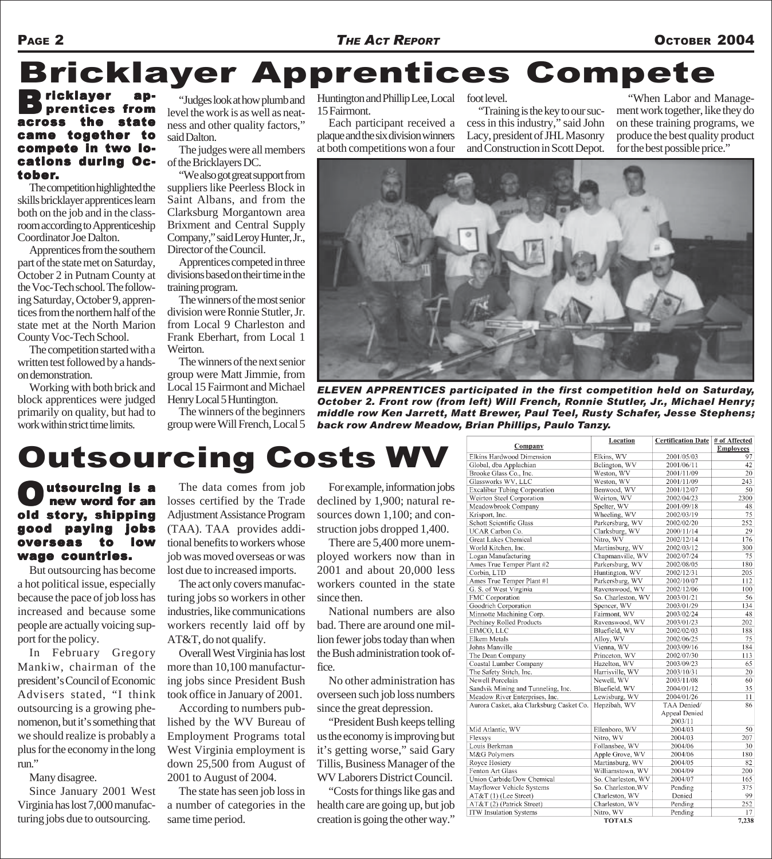# Bricklayer Apprentices Compete

#### ricklayer es from state came together to compete in two lo- locations during October.

The competition highlighted the skills bricklayer apprentices learn both on the job and in the classroom according to Apprenticeship Coordinator Joe Dalton.

Apprentices from the southern part of the state met on Saturday, October 2 in Putnam County at the Voc-Tech school. The following Saturday, October 9, apprentices from the northern half of the state met at the North Marion County Voc-Tech School.

The competition started with a written test followed by a handson demonstration.

Working with both brick and block apprentices were judged primarily on quality, but had to work within strict time limits.

"Judges look at how plumb and level the work is as well as neatness and other quality factors," said Dalton.

The judges were all members of the Bricklayers DC.

"We also got great support from suppliers like Peerless Block in Saint Albans, and from the Clarksburg Morgantown area Brixment and Central Supply Company," said Leroy Hunter, Jr., Director of the Council.

Apprentices competed in three divisions based on their time in the training program.

The winners of the most senior division were Ronnie Stutler, Jr. from Local 9 Charleston and Frank Eberhart, from Local 1 Weirton.

The winners of the next senior group were Matt Jimmie, from Local 15 Fairmont and Michael Henry Local 5 Huntington.

The winners of the beginners group were Will French, Local 5 Huntington and Phillip Lee, Local 15 Fairmont. foot level.

Each participant received a plaque and the six division winners at both competitions won a four

"Training is the key to our success in this industry," said John Lacy, president of JHL Masonry and Construction in Scott Depot.

"When Labor and Management work together, like they do on these training programs, we produce the best quality product for the best possible price."



*ELEVEN APPRENTICES participated in the first competition held on Saturday, October 2. Front row (from left) Will French, Ronnie Stutler, Jr., Michael Henry; middle row Ken Jarrett, Matt Brewer, Paul Teel, Rusty Schafer, Jesse Stephens; back row Andrew Meadow, Brian Phillips, Paulo Tanzy.*

## Outsourcing Costs WV

utsourcing is a<br>new word for an<br>story, shipping new word for an shipping good paying jobs overseas to low wage countries.

But outsourcing has become a hot political issue, especially because the pace of job loss has increased and because some people are actually voicing support for the policy.

In February Gregory Mankiw, chairman of the president's Council of Economic Advisers stated, "I think outsourcing is a growing phenomenon, but it's something that we should realize is probably a plus for the economy in the long run."

Many disagree.

Since January 2001 West Virginia has lost 7,000 manufacturing jobs due to outsourcing.

The data comes from job losses certified by the Trade Adjustment Assistance Program (TAA). TAA provides additional benefits to workers whose job was moved overseas or was lost due to increased imports.

The act only covers manufacturing jobs so workers in other industries, like communications workers recently laid off by AT&T, do not qualify.

Overall West Virginia has lost more than 10,100 manufacturing jobs since President Bush took office in January of 2001.

According to numbers published by the WV Bureau of Employment Programs total West Virginia employment is down 25,500 from August of 2001 to August of 2004.

The state has seen job loss in a number of categories in the same time period.

For example, information jobs declined by 1,900; natural resources down 1,100; and construction jobs dropped 1,400.

There are 5,400 more unemployed workers now than in 2001 and about 20,000 less workers counted in the state since then.

National numbers are also bad. There are around one million fewer jobs today than when the Bush administration took office.

No other administration has overseen such job loss numbers since the great depression.

"President Bush keeps telling us the economy is improving but it's getting worse," said Gary Tillis, Business Manager of the WV Laborers District Council.

"Costs for things like gas and health care are going up, but job creation is going the other way."

|                                          | <b>Location</b>    | <b>Certification Date</b> | # of Affected    |
|------------------------------------------|--------------------|---------------------------|------------------|
| Company                                  |                    |                           | <b>Employees</b> |
| Elkins Hardwood Dimension                | Elkins, WV         | 2001/05/03                | 97               |
| Global, dba Applachian                   | Belington, WV      | 2001/06/11                | 42               |
| Brooke Glass Co., Inc.                   | Weston, WV         | 2001/11/09                | 20               |
| Glassworks WV, LLC                       | Weston, WV         | 2001/11/09                | 243              |
| <b>Excalibur Tubing Corporation</b>      | Benwood, WV        | 2001/12/07                | 50               |
| Weirton Steel Corporation                | Weirton, WV        | 2002/04/23                | 2300             |
| Meadowbrook Company                      | Spelter, WV        | 2001/09/18                | 48               |
| Krisport, Inc.                           | Wheeling, WV       | 2002/03/19                | 75               |
| <b>Schott Scientific Glass</b>           | Parkersburg, WV    | 2002/02/20                | 252              |
| UCAR Carbon Co.                          | Clarksburg, WV     | 2000/11/14                | 29               |
| <b>Great Lakes Chemical</b>              | Nitro, WV          | 2002/12/14                | 176              |
| World Kitchen, Inc.                      | Martinsburg, WV    | 2002/03/12                | 300              |
| Logan Manufacturing                      | Chapmanville, WV   | 2002/07/24                | 75               |
| Ames True Temper Plant #2                | Parkersburg, WV    | 2002/08/05                | 180              |
| Corbin, LTD                              | Huntington, WV     | 2002/12/31                | 205              |
| Ames True Temper Plant #1                | Parkersburg, WV    | 2002/10/07                | 112              |
| G. S. of West Virginia                   | Ravenswood, WV     | 2002/12/06                | 100              |
| FMC Corporation                          | So. Charleston, WV | 2003/01/21                | 56               |
| Goodrich Corporation                     | Spencer, WV        | 2003/01/29                | 134              |
| Minnotte Machining Corp.                 | Fairmont, WV       | 2003/02/24                | 48               |
| Pechiney Rolled Products                 | Ravenswood, WV     | 2003/01/23                | 202              |
| EIMCO, LLC                               | Bluefield, WV      | 2002/02/03                | 188              |
| Elkem Metals                             | Alloy, WV          | 2002/06/25                | 75               |
| Johns Manville                           | Vienna, WV         | 2003/09/16                | 184              |
| The Dean Company                         | Princeton, WV      | 2002/07/30                | 113              |
| Coastal Lumber Company                   | Hazelton, WV       | 2003/09/23                | 65               |
| The Safety Stitch, Inc.                  | Harrisville, WV    | 2003/10/31                | 20               |
| Newell Porcelain                         | Newell, WV         | 2003/11/08                | 60               |
| Sandvik Mining and Tunneling, Inc.       | Bluefield, WV      | 2004/01/12                | 35               |
| Meadow River Enterprises, Inc.           | Lewisburg, WV      | 2004/01/26                | 11               |
| Aurora Casket, aka Clarksburg Casket Co. | Hepzibah, WV       | TAA Denied/               | 86               |
|                                          |                    | Appeal Denied             |                  |
|                                          |                    | 2003/11                   |                  |
| Mid Atlantic, WV                         | Ellenboro, WV      | 2004/03                   | 50               |
| Flexsys                                  | Nitro, WV          | 2004/03                   | 207              |
| Louis Berkman                            | Follansbee, WV     | 2004/06                   | 30               |
| M&G Polymers                             | Apple Grove, WV    | 2004/06                   | 180              |
| Royce Hosiery                            | Martinsburg, WV    | 2004/05                   | 82               |
| Fenton Art Glass                         | Williamstown, WV   | 2004/09                   | 200              |
| Union Carbide/Dow Chemical               | So. Charleston, WV | 2004/07                   | 165              |
| Mayflower Vehicle Systems                | So. Charleston, WV | Pending                   | 375              |
| AT&T (1) (Lee Street)                    | Charleston, WV     | Denied                    | 99               |
| AT&T (2) (Patrick Street)                | Charleston, WV     | Pending                   | 252              |
| <b>ITW Insulation Systems</b>            | Nitro, WV          | Pending                   | 17               |
|                                          | <b>TOTALS</b>      |                           | 7,238            |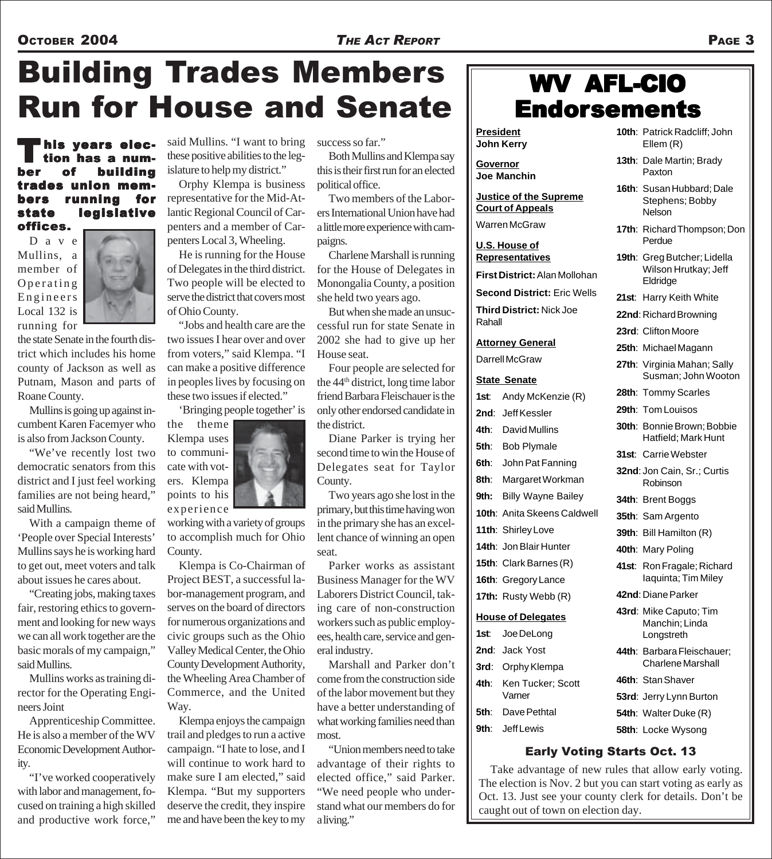# Building Trades Members Run for House and Senate

his years elec-<br>tion has a numnumber of building trades union members running for state legislative offices.

D a v e Mullins, a member of Operating Engineers Local 132 is running for

the state Senate in the fourth district which includes his home county of Jackson as well as Putnam, Mason and parts of Roane County.

Mullins is going up against incumbent Karen Facemyer who is also from Jackson County.

"We've recently lost two democratic senators from this district and I just feel working families are not being heard," said Mullins.

With a campaign theme of 'People over Special Interests' Mullins says he is working hard to get out, meet voters and talk about issues he cares about.

"Creating jobs, making taxes fair, restoring ethics to government and looking for new ways we can all work together are the basic morals of my campaign," said Mullins.

Mullins works as training director for the Operating Engineers Joint

Apprenticeship Committee. He is also a member of the WV Economic Development Authority.

"I've worked cooperatively with labor and management, focused on training a high skilled and productive work force,"

said Mullins. "I want to bring these positive abilities to the legislature to help my district."

Orphy Klempa is business representative for the Mid-Atlantic Regional Council of Carpenters and a member of Carpenters Local 3, Wheeling.

He is running for the House of Delegates in the third district. Two people will be elected to serve the district that covers most of Ohio County.

"Jobs and health care are the two issues I hear over and over from voters," said Klempa. "I can make a positive difference in peoples lives by focusing on these two issues if elected."

'Bringing people together' is

the theme Klempa uses to communicate with voters. Klempa points to his experience

working with a variety of groups to accomplish much for Ohio County.

Klempa is Co-Chairman of Project BEST, a successful labor-management program, and serves on the board of directors for numerous organizations and civic groups such as the Ohio Valley Medical Center, the Ohio County Development Authority, the Wheeling Area Chamber of Commerce, and the United Way.

Klempa enjoys the campaign trail and pledges to run a active campaign. "I hate to lose, and I will continue to work hard to make sure I am elected," said Klempa. "But my supporters deserve the credit, they inspire me and have been the key to my

success so far."

Both Mullins and Klempa say this is their first run for an elected political office.

Two members of the Laborers International Union have had a little more experience with campaigns.

Charlene Marshall is running for the House of Delegates in Monongalia County, a position she held two years ago.

But when she made an unsuccessful run for state Senate in 2002 she had to give up her House seat.

Four people are selected for the 44th district, long time labor friend Barbara Fleischauer is the only other endorsed candidate in the district.

Diane Parker is trying her second time to win the House of Delegates seat for Taylor County.

Two years ago she lost in the primary, but this time having won in the primary she has an excellent chance of winning an open seat.

Parker works as assistant Business Manager for the WV Laborers District Council, taking care of non-construction workers such as public employees, health care, service and general industry.

Marshall and Parker don't come from the construction side of the labor movement but they have a better understanding of what working families need than most.

"Union members need to take advantage of their rights to elected office," said Parker. "We need people who understand what our members do for a living."

### WV AFL-CIO **Endorsements**

**President John Kerry**

**Governor Joe Manchin**

**Justice of the Supreme Court of Appeals**

Warren McGraw

**U.S. House of Representatives**

**First District:** Alan Mollohan

**Second District:** Eric Wells

**Third District:** Nick Joe

**Attorney General**

Darrell McGraw

#### **State Senate**

Rahall

| 1st: | Andy McKenzie (R)                | Z      |
|------|----------------------------------|--------|
|      | 2nd: Jeff Kessler                | 2      |
|      | 4th: David Mullins               | 3      |
|      | 5th: Bob Plymale                 |        |
|      | 6th: John Pat Fanning            | 3      |
|      | 8th: Margaret Workman            | 3      |
|      | 9th: Billy Wayne Bailey          | 3      |
|      | 10th: Anita Skeens Caldwell      | 3      |
|      | 11th: Shirley Love               | 3      |
|      | 14th: Jon Blair Hunter           | 4      |
|      | 15th: Clark Barnes (R)           | 4      |
|      | 16th: Gregory Lance              |        |
|      | 17th: Rusty Webb (R)             | 4      |
|      | <b>House of Delegates</b>        | 4      |
|      | 1st: Joe DeLong                  |        |
|      | 2nd: Jack Yost                   | 4      |
|      | 3rd: Orphy Klempa                |        |
|      | 4th: Ken Tucker; Scott<br>Varner | 4<br>5 |
|      | <b>5th</b> : Dave Pethtal        | 5      |
|      |                                  |        |

**9th**: Jeff Lewis

- **10th**: Patrick Radcliff; John Ellem (R)
- **13th**: Dale Martin; Brady Paxton
- **16th**: Susan Hubbard; Dale Stephens; Bobby **Nelson**
- **17th**: Richard Thompson; Don Perdue
- **19th**: Greg Butcher; Lidella Wilson Hrutkay; Jeff Eldridge
- **21st**: Harry Keith White
- **22nd**: Richard Browning
- **23rd**: Clifton Moore
- **25th**: Michael Magann
- **27th**: Virginia Mahan; Sally Susman; John Wooton
- **28th**: Tommy Scarles
- **29th**: Tom Louisos
- **30th**: Bonnie Brown; Bobbie Hatfield; Mark Hunt
- **31st**: Carrie Webster
- **32nd**: Jon Cain, Sr.; Curtis Robinson
- **34th**: Brent Boggs
- **35th**: Sam Argento
- **39th**: Bill Hamilton (R)
- **40th**: Mary Poling
- **41st**: Ron Fragale; Richard Iaquinta; Tim Miley
- **42nd**: Diane Parker
- **43rd**: Mike Caputo; Tim Manchin; Linda Longstreth
- **44th**: Barbara Fleischauer; Charlene Marshall
- **46th**: Stan Shaver
- **53rd**: Jerry Lynn Burton
- **54th**: Walter Duke (R)
- **58th**: Locke Wysong

#### Early Voting Starts Oct. 13

Take advantage of new rules that allow early voting. The election is Nov. 2 but you can start voting as early as Oct. 13. Just see your county clerk for details. Don't be caught out of town on election day.